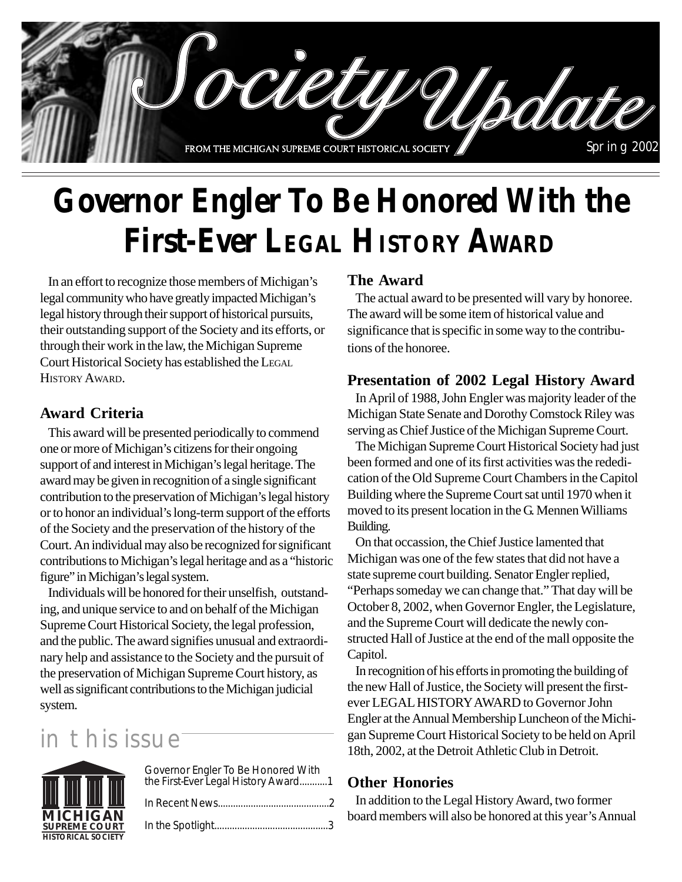

# **Governor Engler To Be Honored With the First-Ever LEGAL HISTORY AWARD**

In an effort to recognize those members of Michigan's legal community who have greatly impacted Michigan's legal history through their support of historical pursuits, their outstanding support of the Society and its efforts, or through their work in the law, the Michigan Supreme Court Historical Society has established the LEGAL HISTORY AWARD.

### **Award Criteria**

This award will be presented periodically to commend one or more of Michigan's citizens for their ongoing support of and interest in Michigan's legal heritage. The award may be given in recognition of a single significant contribution to the preservation of Michigan's legal history or to honor an individual's long-term support of the efforts of the Society and the preservation of the history of the Court. An individual may also be recognized for significant contributions to Michigan's legal heritage and as a "historic figure" in Michigan's legal system.

Individuals will be honored for their unselfish, outstanding, and unique service to and on behalf of the Michigan Supreme Court Historical Society, the legal profession, and the public. The award signifies unusual and extraordinary help and assistance to the Society and the pursuit of the preservation of Michigan Supreme Court history, as well as significant contributions to the Michigan judicial system.

## in this issue

| $\mathop{\rm III}\nolimits$ $\mathop{\rm III}\nolimits$ $\mathop{\rm III}\nolimits$ | Governor Engler To Be Honored With<br>the First-Ever Legal History Award1 |
|-------------------------------------------------------------------------------------|---------------------------------------------------------------------------|
|                                                                                     |                                                                           |
| <b>MICHIGAN</b><br><b>SUPREME COURT</b>                                             |                                                                           |
| <b>HISTORICAL SOCIETY</b>                                                           |                                                                           |

### **The Award**

The actual award to be presented will vary by honoree. The award will be some item of historical value and significance that is specific in some way to the contributions of the honoree.

### **Presentation of 2002 Legal History Award**

In April of 1988, John Engler was majority leader of the Michigan State Senate and Dorothy Comstock Riley was serving as Chief Justice of the Michigan Supreme Court.

The Michigan Supreme Court Historical Society had just been formed and one of its first activities was the rededication of the Old Supreme Court Chambers in the Capitol Building where the Supreme Court sat until 1970 when it moved to its present location in the G. Mennen Williams Building.

On that occassion, the Chief Justice lamented that Michigan was one of the few states that did not have a state supreme court building. Senator Engler replied, "Perhaps someday we can change that." That day will be October 8, 2002, when Governor Engler, the Legislature, and the Supreme Court will dedicate the newly constructed Hall of Justice at the end of the mall opposite the Capitol.

In recognition of his efforts in promoting the building of the new Hall of Justice, the Society will present the firstever LEGAL HISTORY AWARD to Governor John Engler at the Annual Membership Luncheon of the Michigan Supreme Court Historical Society to be held on April 18th, 2002, at the Detroit Athletic Club in Detroit.

### **Other Honories**

In addition to the Legal History Award, two former **MICHIGAN** board members will also be honored at this year's Annual **SUPREME COURTE**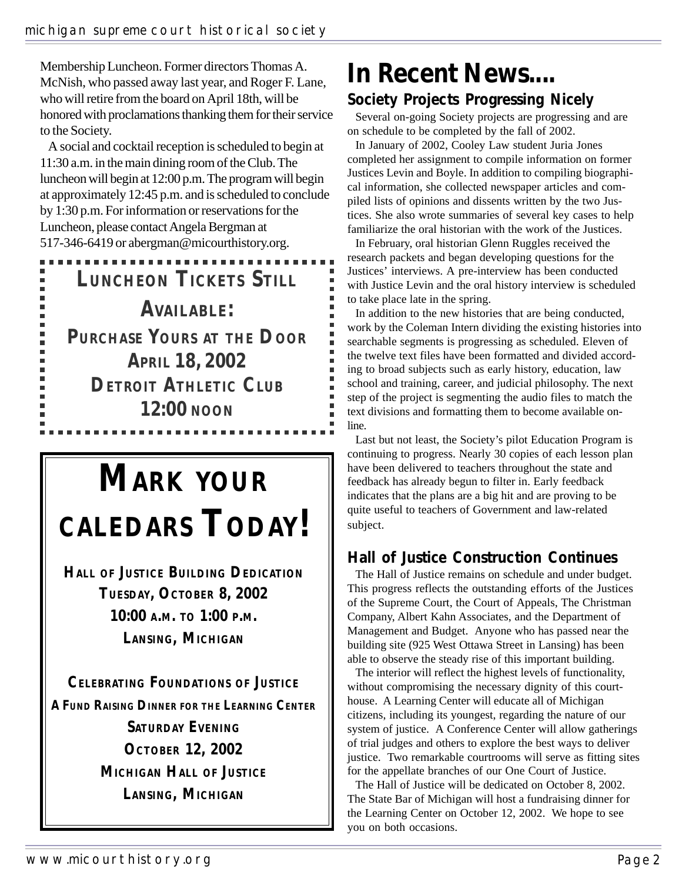Membership Luncheon. Former directors Thomas A. McNish, who passed away last year, and Roger F. Lane, who will retire from the board on April 18th, will be honored with proclamations thanking them for their service to the Society.

A social and cocktail reception is scheduled to begin at 11:30 a.m. in the main dining room of the Club. The luncheon will begin at 12:00 p.m. The program will begin at approximately 12:45 p.m. and is scheduled to conclude by 1:30 p.m. For information or reservations for the Luncheon, please contact Angela Bergman at 517-346-6419 or abergman@micourthistory.org.

**LUNCHEON TICKETS STILL AVAILABLE: PURCHASE YOURS AT THE DOOR APRIL 18, 2002 DETROIT ATHLETIC CLUB 12:00 NOON**

ш  $\blacksquare$  $\blacksquare$ Ξ a.  $\blacksquare$ a. п

# **MARK YOUR CALEDARS TODAY!**

**HALL OF JUSTICE BUILDING DEDICATION TUESDAY, OCTOBER 8, 2002 10:00 A.M. TO 1:00 P.M. LANSING, MICHIGAN**

**CELEBRATING FOUNDATIONS OF JUSTICE A FUND RAISING DINNER FOR THE LEARNING CENTER SATURDAY EVENING OCTOBER 12, 2002 MICHIGAN HALL OF JUSTICE LANSING, MICHIGAN**

## **In Recent News.... Society Projects Progressing Nicely**

Several on-going Society projects are progressing and are on schedule to be completed by the fall of 2002.

In January of 2002, Cooley Law student Juria Jones completed her assignment to compile information on former Justices Levin and Boyle. In addition to compiling biographical information, she collected newspaper articles and compiled lists of opinions and dissents written by the two Justices. She also wrote summaries of several key cases to help familiarize the oral historian with the work of the Justices.

In February, oral historian Glenn Ruggles received the research packets and began developing questions for the Justices' interviews. A pre-interview has been conducted with Justice Levin and the oral history interview is scheduled to take place late in the spring.

In addition to the new histories that are being conducted, work by the Coleman Intern dividing the existing histories into searchable segments is progressing as scheduled. Eleven of the twelve text files have been formatted and divided according to broad subjects such as early history, education, law school and training, career, and judicial philosophy. The next step of the project is segmenting the audio files to match the text divisions and formatting them to become available online.

Last but not least, the Society's pilot Education Program is continuing to progress. Nearly 30 copies of each lesson plan have been delivered to teachers throughout the state and feedback has already begun to filter in. Early feedback indicates that the plans are a big hit and are proving to be quite useful to teachers of Government and law-related subject.

### **Hall of Justice Construction Continues**

The Hall of Justice remains on schedule and under budget. This progress reflects the outstanding efforts of the Justices of the Supreme Court, the Court of Appeals, The Christman Company, Albert Kahn Associates, and the Department of Management and Budget. Anyone who has passed near the building site (925 West Ottawa Street in Lansing) has been able to observe the steady rise of this important building.

The interior will reflect the highest levels of functionality, without compromising the necessary dignity of this courthouse. A Learning Center will educate all of Michigan citizens, including its youngest, regarding the nature of our system of justice. A Conference Center will allow gatherings of trial judges and others to explore the best ways to deliver justice. Two remarkable courtrooms will serve as fitting sites for the appellate branches of our One Court of Justice.

The Hall of Justice will be dedicated on October 8, 2002. The State Bar of Michigan will host a fundraising dinner for the Learning Center on October 12, 2002. We hope to see you on both occasions.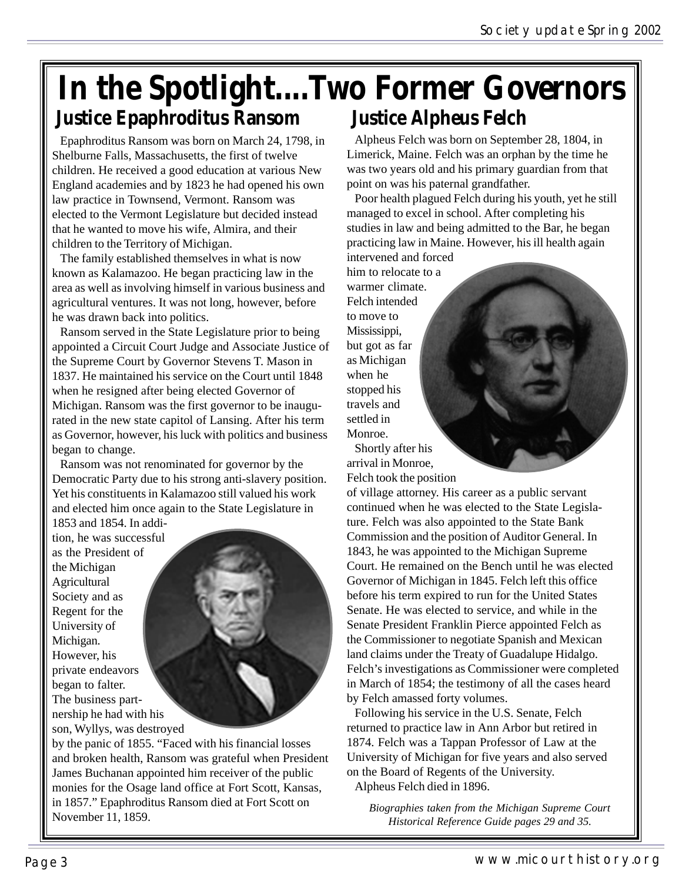### **In the Spotlight....Two Former Governors Justice Alpheus Felch Justice Epaphroditus Ransom**

Epaphroditus Ransom was born on March 24, 1798, in Shelburne Falls, Massachusetts, the first of twelve children. He received a good education at various New England academies and by 1823 he had opened his own law practice in Townsend, Vermont. Ransom was elected to the Vermont Legislature but decided instead that he wanted to move his wife, Almira, and their children to the Territory of Michigan.

The family established themselves in what is now known as Kalamazoo. He began practicing law in the area as well as involving himself in various business and agricultural ventures. It was not long, however, before he was drawn back into politics.

Ransom served in the State Legislature prior to being appointed a Circuit Court Judge and Associate Justice of the Supreme Court by Governor Stevens T. Mason in 1837. He maintained his service on the Court until 1848 when he resigned after being elected Governor of Michigan. Ransom was the first governor to be inaugurated in the new state capitol of Lansing. After his term as Governor, however, his luck with politics and business began to change.

Ransom was not renominated for governor by the Democratic Party due to his strong anti-slavery position. Yet his constituents in Kalamazoo still valued his work and elected him once again to the State Legislature in 1853 and 1854. In addi-

tion, he was successful as the President of the Michigan **Agricultural** Society and as Regent for the University of Michigan. However, his private endeavors began to falter. The business partnership he had with his son, Wyllys, was destroyed



by the panic of 1855. "Faced with his financial losses and broken health, Ransom was grateful when President James Buchanan appointed him receiver of the public monies for the Osage land office at Fort Scott, Kansas, in 1857." Epaphroditus Ransom died at Fort Scott on November 11, 1859.

Alpheus Felch was born on September 28, 1804, in Limerick, Maine. Felch was an orphan by the time he was two years old and his primary guardian from that point on was his paternal grandfather.

Poor health plagued Felch during his youth, yet he still managed to excel in school. After completing his studies in law and being admitted to the Bar, he began practicing law in Maine. However, his ill health again intervened and forced

him to relocate to a warmer climate. Felch intended to move to Mississippi, but got as far as Michigan when he stopped his travels and settled in Monroe.

Shortly after his arrival in Monroe, Felch took the position

of village attorney. His career as a public servant continued when he was elected to the State Legislature. Felch was also appointed to the State Bank Commission and the position of Auditor General. In 1843, he was appointed to the Michigan Supreme Court. He remained on the Bench until he was elected Governor of Michigan in 1845. Felch left this office before his term expired to run for the United States Senate. He was elected to service, and while in the Senate President Franklin Pierce appointed Felch as the Commissioner to negotiate Spanish and Mexican land claims under the Treaty of Guadalupe Hidalgo. Felch's investigations as Commissioner were completed in March of 1854; the testimony of all the cases heard by Felch amassed forty volumes.

Following his service in the U.S. Senate, Felch returned to practice law in Ann Arbor but retired in 1874. Felch was a Tappan Professor of Law at the University of Michigan for five years and also served on the Board of Regents of the University. Alpheus Felch died in 1896.

*Biographies taken from the Michigan Supreme Court Historical Reference Guide pages 29 and 35.*